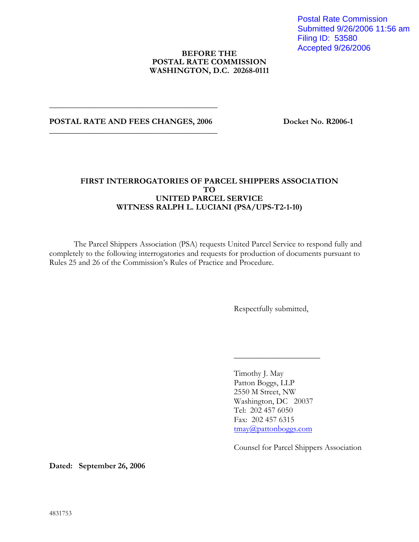Postal Rate Commission Submitted 9/26/2006 11:56 am Filing ID: 53580 Accepted 9/26/2006

## **BEFORE THE POSTAL RATE COMMISSION WASHINGTON, D.C. 20268-0111**

## POSTAL RATE AND FEES CHANGES, 2006 Docket No. R2006-1 **\_\_\_\_\_\_\_\_\_\_\_\_\_\_\_\_\_\_\_\_\_\_\_\_\_\_\_\_\_\_\_\_\_\_\_\_\_\_\_\_\_**

**\_\_\_\_\_\_\_\_\_\_\_\_\_\_\_\_\_\_\_\_\_\_\_\_\_\_\_\_\_\_\_\_\_\_\_\_\_\_\_\_\_** 

## **FIRST INTERROGATORIES OF PARCEL SHIPPERS ASSOCIATION TO UNITED PARCEL SERVICE WITNESS RALPH L. LUCIANI (PSA/UPS-T2-1-10)**

The Parcel Shippers Association (PSA) requests United Parcel Service to respond fully and completely to the following interrogatories and requests for production of documents pursuant to Rules 25 and 26 of the Commission's Rules of Practice and Procedure.

Respectfully submitted,

Timothy J. May Patton Boggs, LLP 2550 M Street, NW Washington, DC 20037 Tel: 202 457 6050 Fax: 202 457 6315 tmay@pattonboggs.com

\_\_\_\_\_\_\_\_\_\_\_\_\_\_\_\_\_\_\_\_\_

Counsel for Parcel Shippers Association

**Dated: September 26, 2006**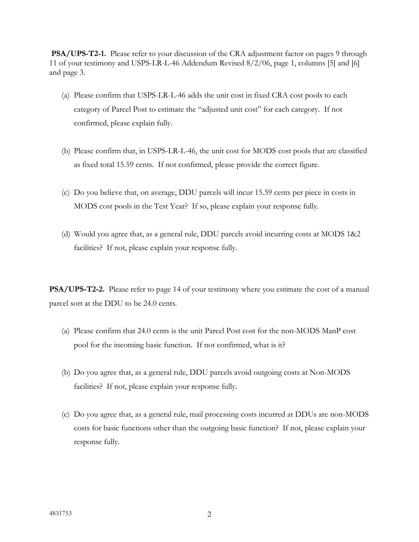**PSA/UPS-T2-1.** Please refer to your discussion of the CRA adjustment factor on pages 9 through 11 of your testimony and USPS-LR-L-46 Addendum Revised 8/2/06, page 1, columns [5] and [6] and page 3.

- (a) Please confirm that USPS-LR-L-46 adds the unit cost in fixed CRA cost pools to each category of Parcel Post to estimate the "adjusted unit cost" for each category. If not confirmed, please explain fully.
- (b) Please confirm that, in USPS-LR-L-46, the unit cost for MODS cost pools that are classified as fixed total 15.59 cents. If not confirmed, please provide the correct figure.
- (c) Do you believe that, on average, DDU parcels will incur 15.59 cents per piece in costs in MODS cost pools in the Test Year? If so, please explain your response fully.
- (d) Would you agree that, as a general rule, DDU parcels avoid incurring costs at MODS 1&2 facilities? If not, please explain your response fully.

**PSA/UPS-T2-2.** Please refer to page 14 of your testimony where you estimate the cost of a manual parcel sort at the DDU to be 24.0 cents.

- (a) Please confirm that 24.0 cents is the unit Parcel Post cost for the non-MODS ManP cost pool for the incoming basic function. If not confirmed, what is it?
- (b) Do you agree that, as a general rule, DDU parcels avoid outgoing costs at Non-MODS facilities? If not, please explain your response fully.
- (c) Do you agree that, as a general rule, mail processing costs incurred at DDUs are non-MODS costs for basic functions other than the outgoing basic function? If not, please explain your response fully.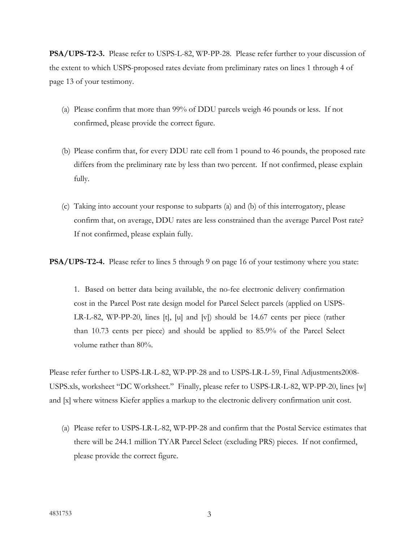**PSA/UPS-T2-3.** Please refer to USPS-L-82, WP-PP-28. Please refer further to your discussion of the extent to which USPS-proposed rates deviate from preliminary rates on lines 1 through 4 of page 13 of your testimony.

- (a) Please confirm that more than 99% of DDU parcels weigh 46 pounds or less. If not confirmed, please provide the correct figure.
- (b) Please confirm that, for every DDU rate cell from 1 pound to 46 pounds, the proposed rate differs from the preliminary rate by less than two percent. If not confirmed, please explain fully.
- (c) Taking into account your response to subparts (a) and (b) of this interrogatory, please confirm that, on average, DDU rates are less constrained than the average Parcel Post rate? If not confirmed, please explain fully.

**PSA/UPS-T2-4.** Please refer to lines 5 through 9 on page 16 of your testimony where you state:

1. Based on better data being available, the no-fee electronic delivery confirmation cost in the Parcel Post rate design model for Parcel Select parcels (applied on USPS-LR-L-82, WP-PP-20, lines [t], [u] and [v]) should be 14.67 cents per piece (rather than 10.73 cents per piece) and should be applied to 85.9% of the Parcel Select volume rather than 80%.

Please refer further to USPS-LR-L-82, WP-PP-28 and to USPS-LR-L-59, Final Adjustments2008- USPS.xls, worksheet "DC Worksheet." Finally, please refer to USPS-LR-L-82, WP-PP-20, lines [w] and [x] where witness Kiefer applies a markup to the electronic delivery confirmation unit cost.

(a) Please refer to USPS-LR-L-82, WP-PP-28 and confirm that the Postal Service estimates that there will be 244.1 million TYAR Parcel Select (excluding PRS) pieces. If not confirmed, please provide the correct figure.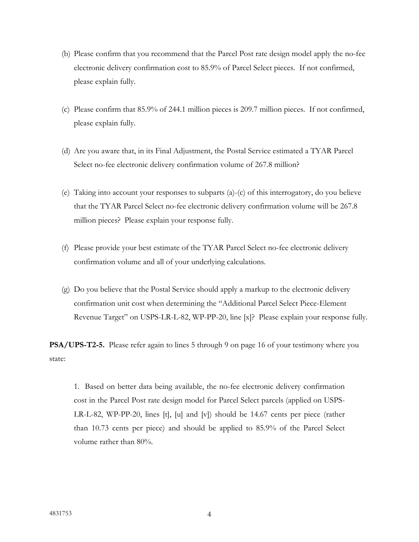- (b) Please confirm that you recommend that the Parcel Post rate design model apply the no-fee electronic delivery confirmation cost to 85.9% of Parcel Select pieces. If not confirmed, please explain fully.
- (c) Please confirm that 85.9% of 244.1 million pieces is 209.7 million pieces. If not confirmed, please explain fully.
- (d) Are you aware that, in its Final Adjustment, the Postal Service estimated a TYAR Parcel Select no-fee electronic delivery confirmation volume of 267.8 million?
- (e) Taking into account your responses to subparts (a)-(c) of this interrogatory, do you believe that the TYAR Parcel Select no-fee electronic delivery confirmation volume will be 267.8 million pieces? Please explain your response fully.
- (f) Please provide your best estimate of the TYAR Parcel Select no-fee electronic delivery confirmation volume and all of your underlying calculations.
- (g) Do you believe that the Postal Service should apply a markup to the electronic delivery confirmation unit cost when determining the "Additional Parcel Select Piece-Element Revenue Target" on USPS-LR-L-82, WP-PP-20, line [x]? Please explain your response fully.

**PSA/UPS-T2-5.** Please refer again to lines 5 through 9 on page 16 of your testimony where you state:

1. Based on better data being available, the no-fee electronic delivery confirmation cost in the Parcel Post rate design model for Parcel Select parcels (applied on USPS-LR-L-82, WP-PP-20, lines [t], [u] and [v]) should be 14.67 cents per piece (rather than 10.73 cents per piece) and should be applied to 85.9% of the Parcel Select volume rather than 80%.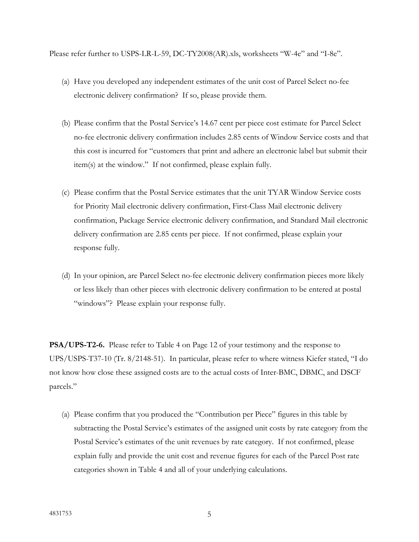Please refer further to USPS-LR-L-59, DC-TY2008(AR).xls, worksheets "W-4e" and "I-8e".

- (a) Have you developed any independent estimates of the unit cost of Parcel Select no-fee electronic delivery confirmation? If so, please provide them.
- (b) Please confirm that the Postal Service's 14.67 cent per piece cost estimate for Parcel Select no-fee electronic delivery confirmation includes 2.85 cents of Window Service costs and that this cost is incurred for "customers that print and adhere an electronic label but submit their item(s) at the window." If not confirmed, please explain fully.
- (c) Please confirm that the Postal Service estimates that the unit TYAR Window Service costs for Priority Mail electronic delivery confirmation, First-Class Mail electronic delivery confirmation, Package Service electronic delivery confirmation, and Standard Mail electronic delivery confirmation are 2.85 cents per piece. If not confirmed, please explain your response fully.
- (d) In your opinion, are Parcel Select no-fee electronic delivery confirmation pieces more likely or less likely than other pieces with electronic delivery confirmation to be entered at postal "windows"? Please explain your response fully.

**PSA/UPS-T2-6.** Please refer to Table 4 on Page 12 of your testimony and the response to UPS/USPS-T37-10 (Tr. 8/2148-51). In particular, please refer to where witness Kiefer stated, "I do not know how close these assigned costs are to the actual costs of Inter-BMC, DBMC, and DSCF parcels."

(a) Please confirm that you produced the "Contribution per Piece" figures in this table by subtracting the Postal Service's estimates of the assigned unit costs by rate category from the Postal Service's estimates of the unit revenues by rate category. If not confirmed, please explain fully and provide the unit cost and revenue figures for each of the Parcel Post rate categories shown in Table 4 and all of your underlying calculations.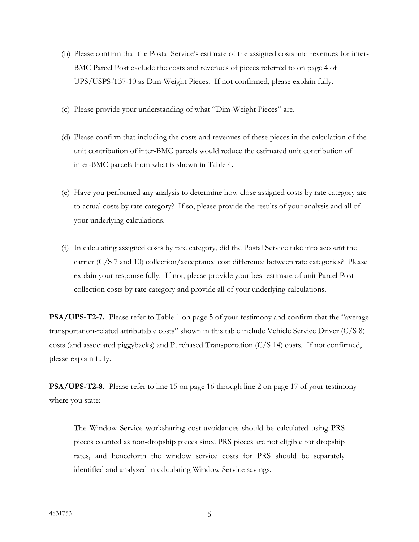- (b) Please confirm that the Postal Service's estimate of the assigned costs and revenues for inter-BMC Parcel Post exclude the costs and revenues of pieces referred to on page 4 of UPS/USPS-T37-10 as Dim-Weight Pieces. If not confirmed, please explain fully.
- (c) Please provide your understanding of what "Dim-Weight Pieces" are.
- (d) Please confirm that including the costs and revenues of these pieces in the calculation of the unit contribution of inter-BMC parcels would reduce the estimated unit contribution of inter-BMC parcels from what is shown in Table 4.
- (e) Have you performed any analysis to determine how close assigned costs by rate category are to actual costs by rate category? If so, please provide the results of your analysis and all of your underlying calculations.
- (f) In calculating assigned costs by rate category, did the Postal Service take into account the carrier (C/S 7 and 10) collection/acceptance cost difference between rate categories? Please explain your response fully. If not, please provide your best estimate of unit Parcel Post collection costs by rate category and provide all of your underlying calculations.

**PSA/UPS-T2-7.** Please refer to Table 1 on page 5 of your testimony and confirm that the "average transportation-related attributable costs" shown in this table include Vehicle Service Driver (C/S 8) costs (and associated piggybacks) and Purchased Transportation (C/S 14) costs. If not confirmed, please explain fully.

**PSA/UPS-T2-8.** Please refer to line 15 on page 16 through line 2 on page 17 of your testimony where you state:

The Window Service worksharing cost avoidances should be calculated using PRS pieces counted as non-dropship pieces since PRS pieces are not eligible for dropship rates, and henceforth the window service costs for PRS should be separately identified and analyzed in calculating Window Service savings.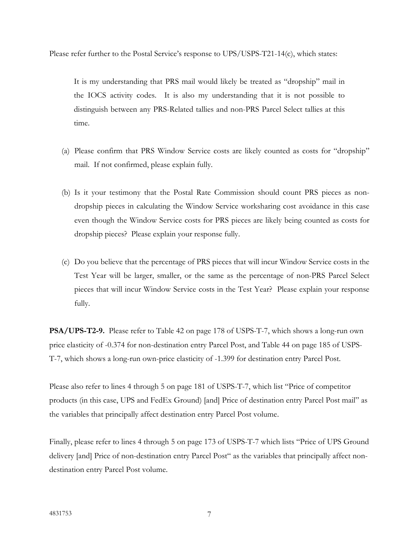Please refer further to the Postal Service's response to UPS/USPS-T21-14(c), which states:

It is my understanding that PRS mail would likely be treated as "dropship" mail in the IOCS activity codes. It is also my understanding that it is not possible to distinguish between any PRS-Related tallies and non-PRS Parcel Select tallies at this time.

- (a) Please confirm that PRS Window Service costs are likely counted as costs for "dropship" mail. If not confirmed, please explain fully.
- (b) Is it your testimony that the Postal Rate Commission should count PRS pieces as nondropship pieces in calculating the Window Service worksharing cost avoidance in this case even though the Window Service costs for PRS pieces are likely being counted as costs for dropship pieces? Please explain your response fully.
- (c) Do you believe that the percentage of PRS pieces that will incur Window Service costs in the Test Year will be larger, smaller, or the same as the percentage of non-PRS Parcel Select pieces that will incur Window Service costs in the Test Year? Please explain your response fully.

**PSA/UPS-T2-9.** Please refer to Table 42 on page 178 of USPS-T-7, which shows a long-run own price elasticity of -0.374 for non-destination entry Parcel Post, and Table 44 on page 185 of USPS-T-7, which shows a long-run own-price elasticity of -1.399 for destination entry Parcel Post.

Please also refer to lines 4 through 5 on page 181 of USPS-T-7, which list "Price of competitor products (in this case, UPS and FedEx Ground) [and] Price of destination entry Parcel Post mail" as the variables that principally affect destination entry Parcel Post volume.

Finally, please refer to lines 4 through 5 on page 173 of USPS-T-7 which lists "Price of UPS Ground delivery [and] Price of non-destination entry Parcel Post" as the variables that principally affect nondestination entry Parcel Post volume.